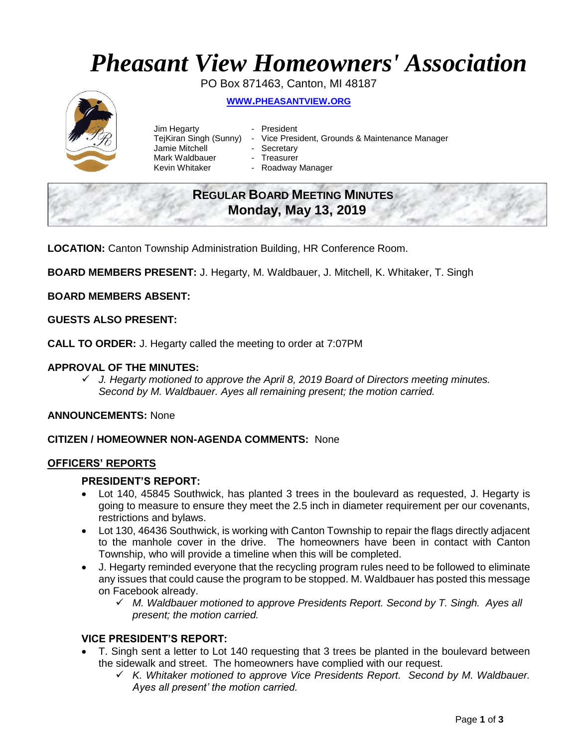# *Pheasant View Homeowners' Association*

PO Box 871463, Canton, MI 48187

## **WWW.[PHEASANTVIEW](http://www.pheasantview.org/).ORG**



- Jim Hegarty  **President** Jamie Mitchell - Secretary Mark Waldbauer **- Treasurer**<br>Kevin Whitaker **- Roadway** 
	-
- TejKiran Singh (Sunny) Vice President, Grounds & Maintenance Manager
	-
	- - Roadway Manager

## **REGULAR BOARD MEETING MINUTES Monday, May 13, 2019**

**LOCATION:** Canton Township Administration Building, HR Conference Room.

**BOARD MEMBERS PRESENT:** J. Hegarty, M. Waldbauer, J. Mitchell, K. Whitaker, T. Singh

**BOARD MEMBERS ABSENT:**

## **GUESTS ALSO PRESENT:**

**CALL TO ORDER:** J. Hegarty called the meeting to order at 7:07PM

## **APPROVAL OF THE MINUTES:**

✓ *J. Hegarty motioned to approve the April 8, 2019 Board of Directors meeting minutes. Second by M. Waldbauer. Ayes all remaining present; the motion carried.*

## **ANNOUNCEMENTS:** None

### **CITIZEN / HOMEOWNER NON-AGENDA COMMENTS:** None

### **OFFICERS' REPORTS**

### **PRESIDENT'S REPORT:**

- Lot 140, 45845 Southwick, has planted 3 trees in the boulevard as requested, J. Hegarty is going to measure to ensure they meet the 2.5 inch in diameter requirement per our covenants, restrictions and bylaws.
- Lot 130, 46436 Southwick, is working with Canton Township to repair the flags directly adjacent to the manhole cover in the drive. The homeowners have been in contact with Canton Township, who will provide a timeline when this will be completed.
- J. Hegarty reminded everyone that the recycling program rules need to be followed to eliminate any issues that could cause the program to be stopped. M. Waldbauer has posted this message on Facebook already.
	- ✓ *M. Waldbauer motioned to approve Presidents Report. Second by T. Singh. Ayes all present; the motion carried.*

## **VICE PRESIDENT'S REPORT:**

- T. Singh sent a letter to Lot 140 requesting that 3 trees be planted in the boulevard between the sidewalk and street. The homeowners have complied with our request.
	- ✓ *K. Whitaker motioned to approve Vice Presidents Report. Second by M. Waldbauer. Ayes all present' the motion carried.*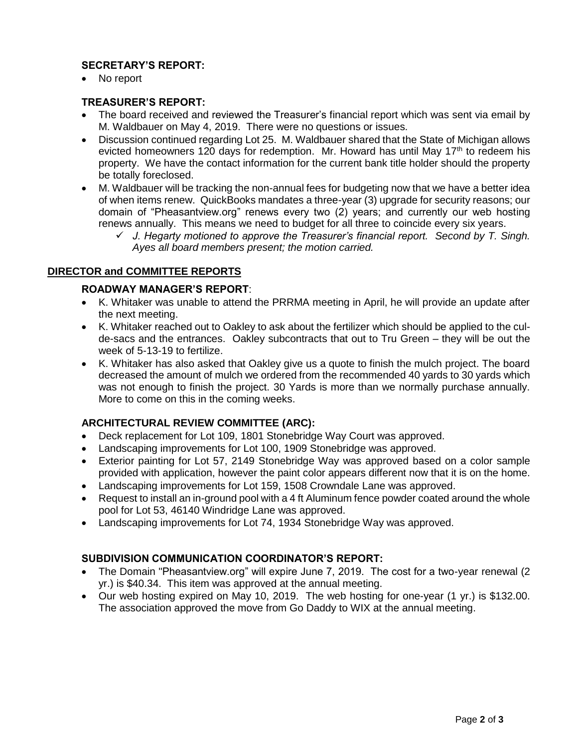## **SECRETARY'S REPORT:**

• No report

## **TREASURER'S REPORT:**

- The board received and reviewed the Treasurer's financial report which was sent via email by M. Waldbauer on May 4, 2019. There were no questions or issues.
- Discussion continued regarding Lot 25. M. Waldbauer shared that the State of Michigan allows evicted homeowners 120 days for redemption. Mr. Howard has until May  $17<sup>th</sup>$  to redeem his property. We have the contact information for the current bank title holder should the property be totally foreclosed.
- M. Waldbauer will be tracking the non-annual fees for budgeting now that we have a better idea of when items renew. QuickBooks mandates a three-year (3) upgrade for security reasons; our domain of "Pheasantview.org" renews every two (2) years; and currently our web hosting renews annually. This means we need to budget for all three to coincide every six years.
	- ✓ *J. Hegarty motioned to approve the Treasurer's financial report. Second by T. Singh. Ayes all board members present; the motion carried.*

## **DIRECTOR and COMMITTEE REPORTS**

## **ROADWAY MANAGER'S REPORT**:

- K. Whitaker was unable to attend the PRRMA meeting in April, he will provide an update after the next meeting.
- K. Whitaker reached out to Oakley to ask about the fertilizer which should be applied to the culde-sacs and the entrances. Oakley subcontracts that out to Tru Green – they will be out the week of 5-13-19 to fertilize.
- K. Whitaker has also asked that Oakley give us a quote to finish the mulch project. The board decreased the amount of mulch we ordered from the recommended 40 yards to 30 yards which was not enough to finish the project. 30 Yards is more than we normally purchase annually. More to come on this in the coming weeks.

## **ARCHITECTURAL REVIEW COMMITTEE (ARC):**

- Deck replacement for Lot 109, 1801 Stonebridge Way Court was approved.
- Landscaping improvements for Lot 100, 1909 Stonebridge was approved.
- Exterior painting for Lot 57, 2149 Stonebridge Way was approved based on a color sample provided with application, however the paint color appears different now that it is on the home.
- Landscaping improvements for Lot 159, 1508 Crowndale Lane was approved.
- Request to install an in-ground pool with a 4 ft Aluminum fence powder coated around the whole pool for Lot 53, 46140 Windridge Lane was approved.
- Landscaping improvements for Lot 74, 1934 Stonebridge Way was approved.

## **SUBDIVISION COMMUNICATION COORDINATOR'S REPORT:**

- The Domain "Pheasantview.org" will expire June 7, 2019. The cost for a two-year renewal (2 yr.) is \$40.34. This item was approved at the annual meeting.
- Our web hosting expired on May 10, 2019. The web hosting for one-year (1 yr.) is \$132.00. The association approved the move from Go Daddy to WIX at the annual meeting.